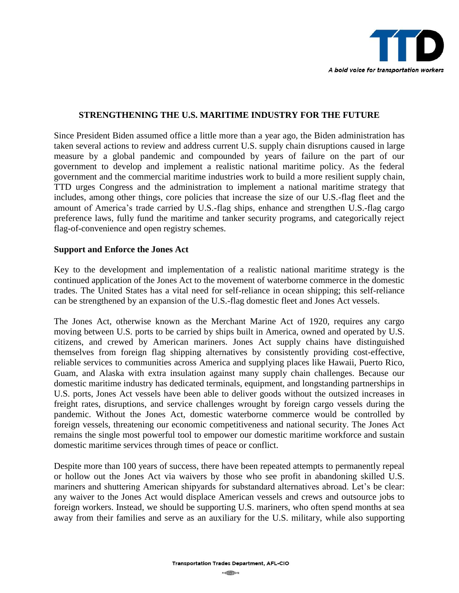

## **STRENGTHENING THE U.S. MARITIME INDUSTRY FOR THE FUTURE**

Since President Biden assumed office a little more than a year ago, the Biden administration has taken several actions to review and address current U.S. supply chain disruptions caused in large measure by a global pandemic and compounded by years of failure on the part of our government to develop and implement a realistic national maritime policy. As the federal government and the commercial maritime industries work to build a more resilient supply chain, TTD urges Congress and the administration to implement a national maritime strategy that includes, among other things, core policies that increase the size of our U.S.-flag fleet and the amount of America's trade carried by U.S.-flag ships, enhance and strengthen U.S.-flag cargo preference laws, fully fund the maritime and tanker security programs, and categorically reject flag-of-convenience and open registry schemes.

## **Support and Enforce the Jones Act**

Key to the development and implementation of a realistic national maritime strategy is the continued application of the Jones Act to the movement of waterborne commerce in the domestic trades. The United States has a vital need for self-reliance in ocean shipping; this self-reliance can be strengthened by an expansion of the U.S.-flag domestic fleet and Jones Act vessels.

The Jones Act, otherwise known as the Merchant Marine Act of 1920, requires any cargo moving between U.S. ports to be carried by ships built in America, owned and operated by U.S. citizens, and crewed by American mariners. Jones Act supply chains have distinguished themselves from foreign flag shipping alternatives by consistently providing cost-effective, reliable services to communities across America and supplying places like Hawaii, Puerto Rico, Guam, and Alaska with extra insulation against many supply chain challenges. Because our domestic maritime industry has dedicated terminals, equipment, and longstanding partnerships in U.S. ports, Jones Act vessels have been able to deliver goods without the outsized increases in freight rates, disruptions, and service challenges wrought by foreign cargo vessels during the pandemic. Without the Jones Act, domestic waterborne commerce would be controlled by foreign vessels, threatening our economic competitiveness and national security. The Jones Act remains the single most powerful tool to empower our domestic maritime workforce and sustain domestic maritime services through times of peace or conflict.

Despite more than 100 years of success, there have been repeated attempts to permanently repeal or hollow out the Jones Act via waivers by those who see profit in abandoning skilled U.S. mariners and shuttering American shipyards for substandard alternatives abroad. Let's be clear: any waiver to the Jones Act would displace American vessels and crews and outsource jobs to foreign workers. Instead, we should be supporting U.S. mariners, who often spend months at sea away from their families and serve as an auxiliary for the U.S. military, while also supporting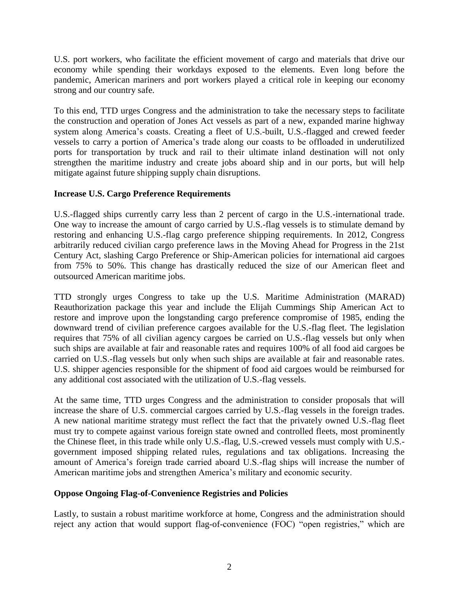U.S. port workers, who facilitate the efficient movement of cargo and materials that drive our economy while spending their workdays exposed to the elements. Even long before the pandemic, American mariners and port workers played a critical role in keeping our economy strong and our country safe.

To this end, TTD urges Congress and the administration to take the necessary steps to facilitate the construction and operation of Jones Act vessels as part of a new, expanded marine highway system along America's coasts. Creating a fleet of U.S.-built, U.S.-flagged and crewed feeder vessels to carry a portion of America's trade along our coasts to be offloaded in underutilized ports for transportation by truck and rail to their ultimate inland destination will not only strengthen the maritime industry and create jobs aboard ship and in our ports, but will help mitigate against future shipping supply chain disruptions.

## **Increase U.S. Cargo Preference Requirements**

U.S.-flagged ships currently carry less than 2 percent of cargo in the U.S.-international trade. One way to increase the amount of cargo carried by U.S.-flag vessels is to stimulate demand by restoring and enhancing U.S.-flag cargo preference shipping requirements. In 2012, Congress arbitrarily reduced civilian cargo preference laws in the Moving Ahead for Progress in the 21st Century Act, slashing Cargo Preference or Ship-American policies for international aid cargoes from 75% to 50%. This change has drastically reduced the size of our American fleet and outsourced American maritime jobs.

TTD strongly urges Congress to take up the U.S. Maritime Administration (MARAD) Reauthorization package this year and include the Elijah Cummings Ship American Act to restore and improve upon the longstanding cargo preference compromise of 1985, ending the downward trend of civilian preference cargoes available for the U.S.-flag fleet. The legislation requires that 75% of all civilian agency cargoes be carried on U.S.-flag vessels but only when such ships are available at fair and reasonable rates and requires 100% of all food aid cargoes be carried on U.S.-flag vessels but only when such ships are available at fair and reasonable rates. U.S. shipper agencies responsible for the shipment of food aid cargoes would be reimbursed for any additional cost associated with the utilization of U.S.-flag vessels.

At the same time, TTD urges Congress and the administration to consider proposals that will increase the share of U.S. commercial cargoes carried by U.S.-flag vessels in the foreign trades. A new national maritime strategy must reflect the fact that the privately owned U.S.-flag fleet must try to compete against various foreign state owned and controlled fleets, most prominently the Chinese fleet, in this trade while only U.S.-flag, U.S.-crewed vessels must comply with U.S. government imposed shipping related rules, regulations and tax obligations. Increasing the amount of America's foreign trade carried aboard U.S.-flag ships will increase the number of American maritime jobs and strengthen America's military and economic security.

## **Oppose Ongoing Flag-of-Convenience Registries and Policies**

Lastly, to sustain a robust maritime workforce at home, Congress and the administration should reject any action that would support flag-of-convenience (FOC) "open registries," which are